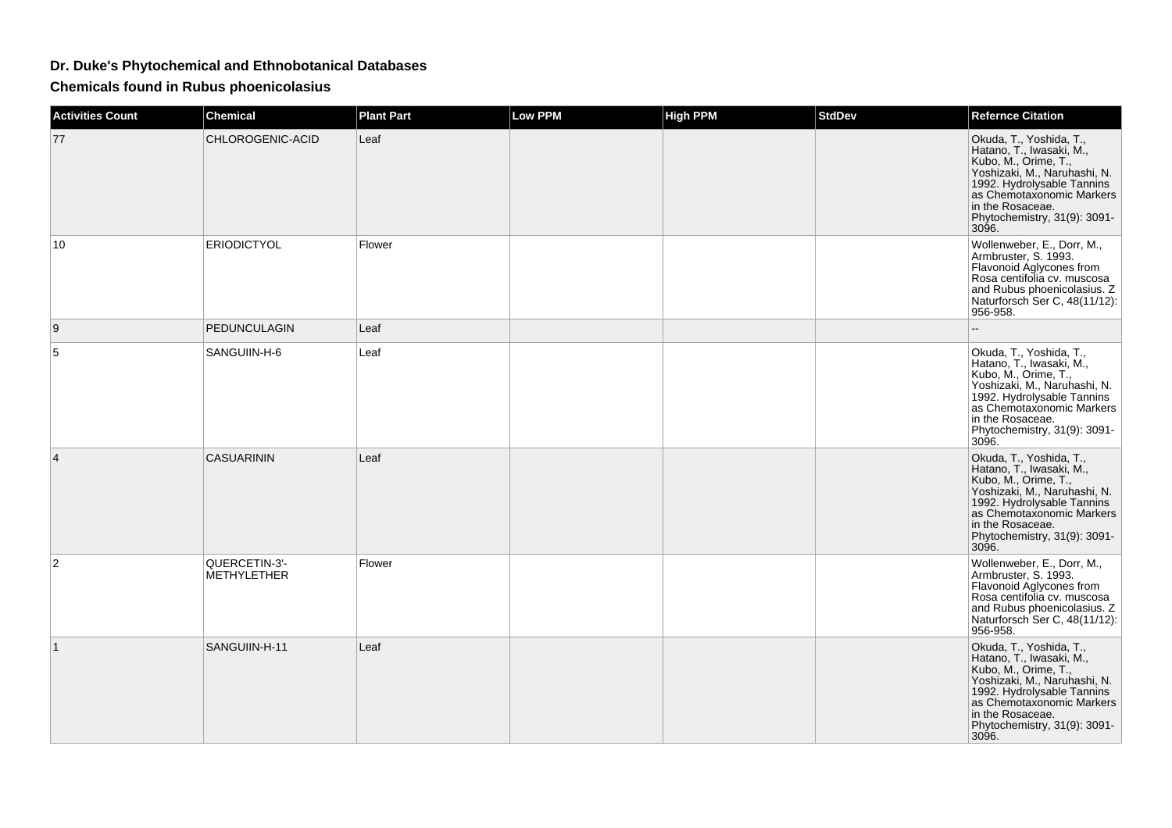## **Dr. Duke's Phytochemical and Ethnobotanical Databases**

**Chemicals found in Rubus phoenicolasius**

| <b>Activities Count</b> | <b>Chemical</b>                     | <b>Plant Part</b> | Low PPM | <b>High PPM</b> | <b>StdDev</b> | <b>Refernce Citation</b>                                                                                                                                                                                                                                    |
|-------------------------|-------------------------------------|-------------------|---------|-----------------|---------------|-------------------------------------------------------------------------------------------------------------------------------------------------------------------------------------------------------------------------------------------------------------|
| 77                      | CHLOROGENIC-ACID                    | Leaf              |         |                 |               | Okuda, T., Yoshida, T.,<br>Hatano, T., Iwasaki, M.,<br>Kubo, M., Orime, T.,<br>Yoshizaki, M., Naruhashi, N.<br>1992. Hydrolysable Tannins<br>as Chemotaxonomic Markers<br>in the Rosaceae.<br>Phytochemistry, 31(9): 3091-<br>3096.                         |
| 10                      | <b>ERIODICTYOL</b>                  | Flower            |         |                 |               | Wollenweber, E., Dorr, M.,<br>Armbruster, S. 1993.<br>Flavonoid Aglycones from<br>Rosa centifolia cv. muscosa<br>and Rubus phoenicolasius. Z<br>Naturforsch Ser C, 48(11/12):<br>956-958.                                                                   |
| 9                       | PEDUNCULAGIN                        | Leaf              |         |                 |               | Ξ.                                                                                                                                                                                                                                                          |
| 5                       | SANGUIIN-H-6                        | Leaf              |         |                 |               | Okuda, T., Yoshida, T.,<br>Hatano, T., Iwasaki, M.,<br>Kubo, M., Orime, T.,<br>Yoshizaki, M., Naruhashi, N.<br>1992. Hydrolysable Tannins<br>as Chemotaxonomic Markers<br>in the Rosaceae.<br>Phytochemistry, 31(9): 3091-<br>3096.                         |
| 4                       | <b>CASUARININ</b>                   | Leaf              |         |                 |               | Okuda, T., Yoshida, T.,<br>Hatano, T., Iwasaki, M.,<br>Kubo, M., Orime, T.,<br>Yoshizaki, M., Naruhashi, N.<br>1992. Hydrolysable Tannins<br>as Chemotaxonomic Markers<br>in the Rosaceae.<br>Phytochemistry, 31(9): 3091-<br>3096.                         |
| $\overline{2}$          | QUERCETIN-3'-<br><b>METHYLETHER</b> | Flower            |         |                 |               | Wollenweber, E., Dorr, M.,<br>Armbruster, S. 1993.<br>Flavonoid Aglycones from<br>Rosa centifolia cv. muscosa<br>and Rubus phoenicolasius. Z<br>Naturforsch Ser C, 48(11/12):<br>956-958.                                                                   |
| 1                       | SANGUIIN-H-11                       | Leaf              |         |                 |               | Okuda, T., Yoshida, T.,<br>Hatano, T., Iwasaki, M.,<br>Kubo, M., Orime, T.,<br>Kubo, M., Orime, T.,<br>Yoshizaki, M., Naruhashi, N.<br>1992. Hydrolysable Tannins<br>as Chemotaxonomic Markers<br>in the Rosaceae.<br>Phytochemistry, 31(9): 3091-<br>3096. |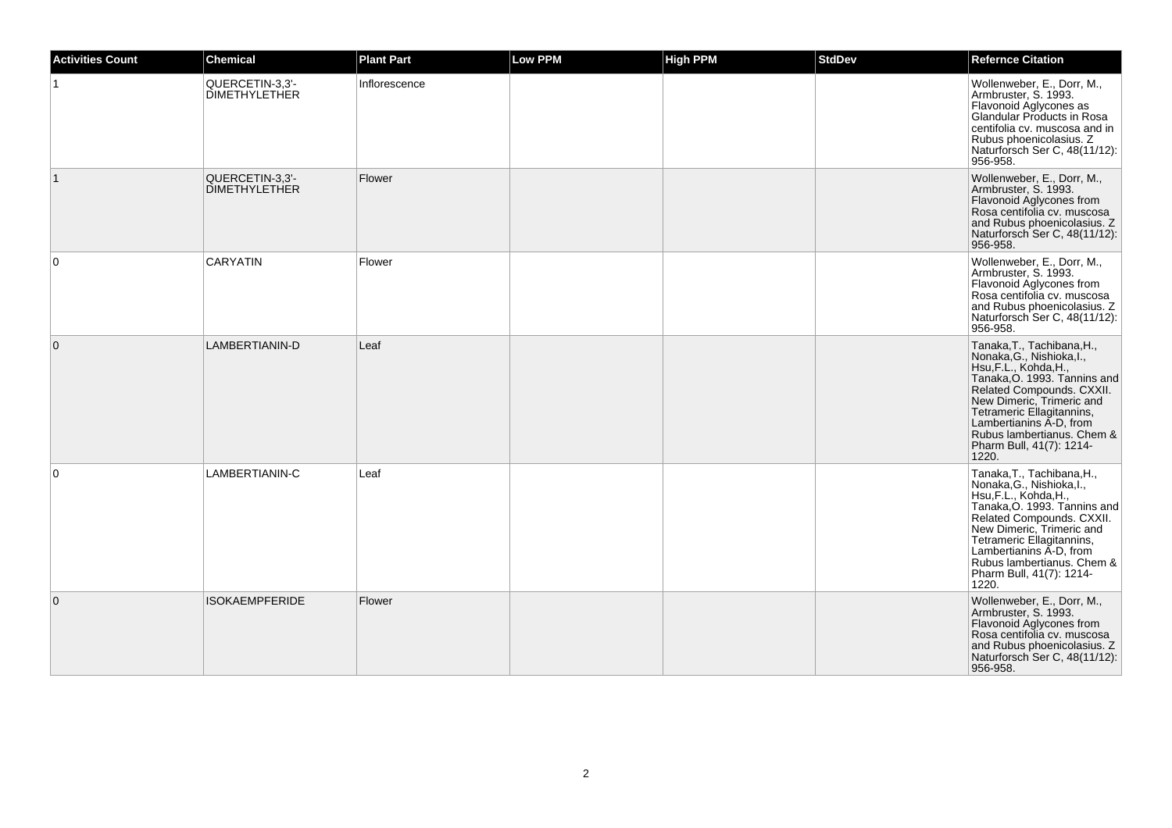| <b>Activities Count</b> | <b>Chemical</b>                         | <b>Plant Part</b> | Low PPM | <b>High PPM</b> | <b>StdDev</b> | <b>Refernce Citation</b>                                                                                                                                                                                                                                                                              |
|-------------------------|-----------------------------------------|-------------------|---------|-----------------|---------------|-------------------------------------------------------------------------------------------------------------------------------------------------------------------------------------------------------------------------------------------------------------------------------------------------------|
|                         | QUERCETIN-3,3'-<br><b>DIMETHYLETHER</b> | Inflorescence     |         |                 |               | Wollenweber, E., Dorr, M.,<br>Armbruster, S. 1993.<br>Flavonoid Aglycones as<br>Glandular Products in Rosa<br>centifolia cv. muscosa and in<br>Rubus phoenicolasius. Z<br>Naturforsch Ser C, 48(11/12):<br>956-958.                                                                                   |
| $\mathbf{1}$            | QUERCETIN-3,3'-<br><b>DIMETHYLETHER</b> | Flower            |         |                 |               | Wollenweber, E., Dorr, M.,<br>Armbruster, S. 1993.<br>Flavonoid Aglycones from<br>Rosa centifolia cv. muscosa<br>and Rubus phoenicolasius. Z<br>Naturforsch Ser C, 48(11/12):<br>956-958.                                                                                                             |
| $\mathbf 0$             | <b>CARYATIN</b>                         | Flower            |         |                 |               | Wollenweber, E., Dorr, M.,<br>Armbruster, S. 1993.<br>Flavonoid Aglycones from<br>Rosa centifolia cv. muscosa<br>and Rubus phoenicolasius. Z<br>Naturforsch Ser C, 48(11/12):<br>956-958.                                                                                                             |
| $\overline{0}$          | LAMBERTIANIN-D                          | Leaf              |         |                 |               | Tanaka, T., Tachibana, H.,<br>Nonaka, G., Nishioka, I.,<br>Hsu, F.L., Kohda, H.,<br>Tanaka, O. 1993. Tannins and<br>Related Compounds. CXXII.<br>New Dimeric, Trimeric and<br>Tetrameric Ellagitannins,<br>Lambertianins A-D, from<br>Rubus lambertianus. Chem &<br>Pharm Bull, 41(7): 1214-<br>1220. |
| $\Omega$                | LAMBERTIANIN-C                          | Leaf              |         |                 |               | Tanaka, T., Tachibana, H.,<br>Nonaka, G., Nishioka, I.,<br>Hsu, F.L., Kohda, H.,<br>Tanaka, O. 1993. Tannins and<br>Related Compounds. CXXII.<br>New Dimeric, Trimeric and<br>Tetrameric Ellagitannins,<br>Lambertianins A-D, from<br>Rubus lambertianus. Chem &<br>Pharm Bull, 41(7): 1214-<br>1220. |
| $\mathbf{0}$            | <b>ISOKAEMPFERIDE</b>                   | Flower            |         |                 |               | Wollenweber, E., Dorr, M.,<br>Armbruster, S. 1993.<br>Flavonoid Aglycones from<br>Rosa centifolia cv. muscosa<br>and Rubus phoenicolasius. Z<br>Naturforsch Ser C, 48(11/12):<br>956-958.                                                                                                             |